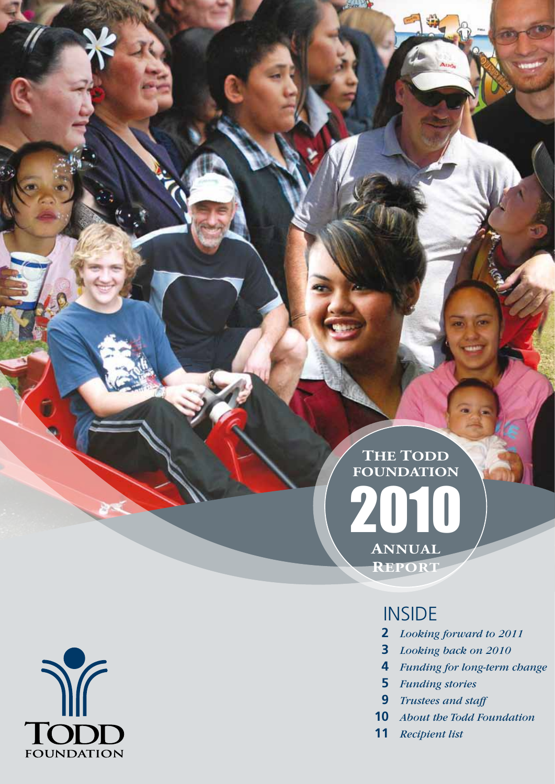### **Annual Report THE TODD Foundation**

### **INSIDE**

- *Looking forward to 2011*
- *Looking back on 2010*
- *Funding for long-term change*
- *Funding stories*
- *Trustees and staff*
- *About the Todd Foundation*
- *Recipient list*

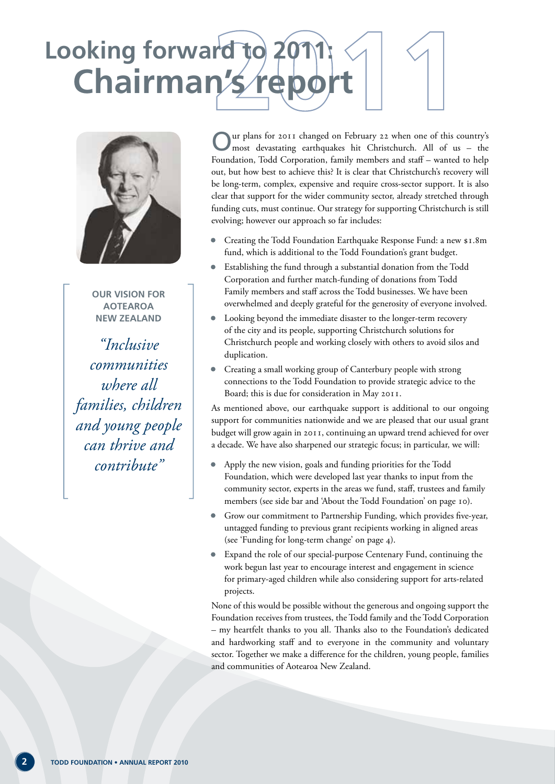## **Chairman's rep Looking forward to 2011:**



**Our vision for Aotearoa New Zealand**

*"Inclusive communities where all families, children and young people can thrive and contribute"*

Our plans for 2011 changed on February 22 when one of this country's most devastating earthquakes hit Christchurch. All of us – the Foundation, Todd Corporation, family members and staff – wanted to help out, but how best to achieve this? It is clear that Christchurch's recovery will be long-term, complex, expensive and require cross-sector support. It is also clear that support for the wider community sector, already stretched through funding cuts, must continue. Our strategy for supporting Christchurch is still evolving; however our approach so far includes:

- Creating the Todd Foundation Earthquake Response Fund: a new \$1.8m fund, which is additional to the Todd Foundation's grant budget.
- Establishing the fund through a substantial donation from the Todd Corporation and further match-funding of donations from Todd Family members and staff across the Todd businesses. We have been overwhelmed and deeply grateful for the generosity of everyone involved.
- Looking beyond the immediate disaster to the longer-term recovery of the city and its people, supporting Christchurch solutions for Christchurch people and working closely with others to avoid silos and duplication.
- Creating a small working group of Canterbury people with strong connections to the Todd Foundation to provide strategic advice to the Board; this is due for consideration in May 2011.

As mentioned above, our earthquake support is additional to our ongoing support for communities nationwide and we are pleased that our usual grant budget will grow again in 2011, continuing an upward trend achieved for over a decade. We have also sharpened our strategic focus; in particular, we will:

- Apply the new vision, goals and funding priorities for the Todd Foundation, which were developed last year thanks to input from the community sector, experts in the areas we fund, staff, trustees and family members (see side bar and 'About the Todd Foundation' on page 10).
- Grow our commitment to Partnership Funding, which provides five-year, untagged funding to previous grant recipients working in aligned areas (see 'Funding for long-term change' on page 4).
- Expand the role of our special-purpose Centenary Fund, continuing the work begun last year to encourage interest and engagement in science for primary-aged children while also considering support for arts-related projects.

None of this would be possible without the generous and ongoing support the Foundation receives from trustees, the Todd family and the Todd Corporation – my heartfelt thanks to you all. Thanks also to the Foundation's dedicated and hardworking staff and to everyone in the community and voluntary sector. Together we make a difference for the children, young people, families and communities of Aotearoa New Zealand.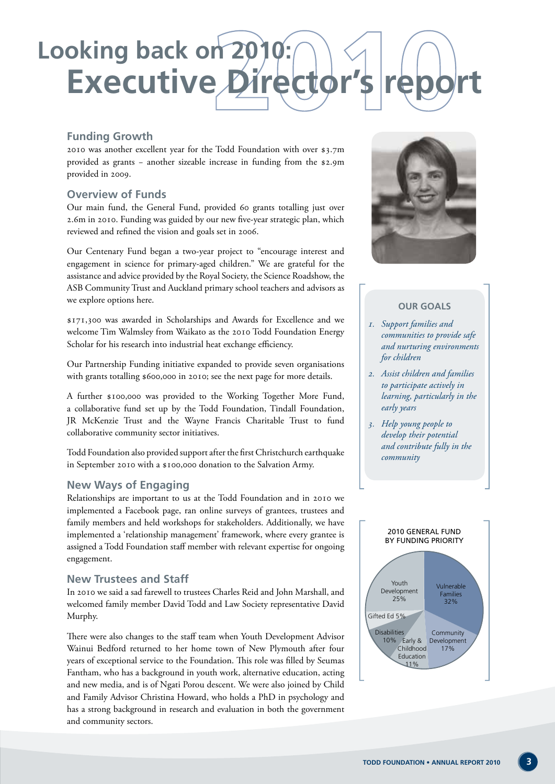## **Executive Directo Looking back on 20**

#### **Funding Growth**

2010 was another excellent year for the Todd Foundation with over \$3.7m provided as grants − another sizeable increase in funding from the \$2.9m provided in 2009.

#### **Overview of Funds**

Our main fund, the General Fund, provided 60 grants totalling just over 2.6m in 2010. Funding was guided by our new five-year strategic plan, which reviewed and refined the vision and goals set in 2006.

Our Centenary Fund began a two-year project to "encourage interest and engagement in science for primary-aged children." We are grateful for the assistance and advice provided by the Royal Society, the Science Roadshow, the ASB Community Trust and Auckland primary school teachers and advisors as we explore options here.

\$171,300 was awarded in Scholarships and Awards for Excellence and we welcome Tim Walmsley from Waikato as the 2010 Todd Foundation Energy Scholar for his research into industrial heat exchange efficiency.

Our Partnership Funding initiative expanded to provide seven organisations with grants totalling \$600,000 in 2010; see the next page for more details.

A further \$100,000 was provided to the Working Together More Fund, a collaborative fund set up by the Todd Foundation, Tindall Foundation, JR McKenzie Trust and the Wayne Francis Charitable Trust to fund collaborative community sector initiatives.

Todd Foundation also provided support after the first Christchurch earthquake in September 2010 with a \$100,000 donation to the Salvation Army.

#### **New Ways of Engaging**

Relationships are important to us at the Todd Foundation and in 2010 we implemented a Facebook page, ran online surveys of grantees, trustees and family members and held workshops for stakeholders. Additionally, we have implemented a 'relationship management' framework, where every grantee is assigned a Todd Foundation staff member with relevant expertise for ongoing engagement.

#### **New Trustees and Staff**

In 2010 we said a sad farewell to trustees Charles Reid and John Marshall, and welcomed family member David Todd and Law Society representative David Murphy.

There were also changes to the staff team when Youth Development Advisor Wainui Bedford returned to her home town of New Plymouth after four years of exceptional service to the Foundation. This role was filled by Seumas Fantham, who has a background in youth work, alternative education, acting and new media, and is of Ngati Porou descent. We were also joined by Child and Family Advisor Christina Howard, who holds a PhD in psychology and has a strong background in research and evaluation in both the government and community sectors.



#### **Our Goals**

- *1. Support families and communities to provide safe and nurturing environments for children*
- *2. Assist children and families to participate actively in learning, particularly in the early years*
- *3. Help young people to develop their potential and contribute fully in the community*

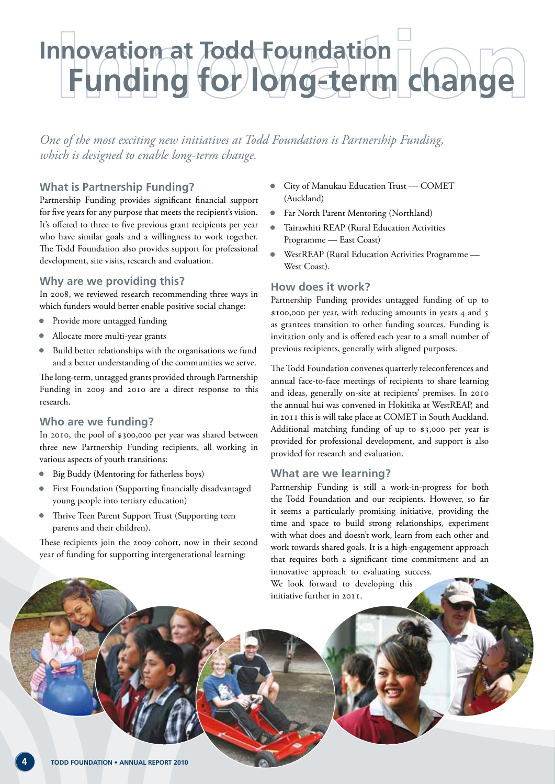### **Funding for long-term change Innovation at Todd Foundation**

*One of the most exciting new initiatives at Todd Foundation is Partnership Funding, which is designed to enable long-term change.*

#### **What is Partnership Funding?**

Partnership Funding provides significant financial support for five years for any purpose that meets the recipient's vision. It's offered to three to five previous grant recipients per year who have similar goals and a willingness to work together. The Todd Foundation also provides support for professional development, site visits, research and evaluation.

#### **Why are we providing this?**

In 2008, we reviewed research recommending three ways in which funders would better enable positive social change:

- Provide more untagged funding
- Allocate more multi-year grants
- Build better relationships with the organisations we fund and a better understanding of the communities we serve.

The long-term, untagged grants provided through Partnership Funding in 2009 and 2010 are a direct response to this research.

#### **Who are we funding?**

In 2010, the pool of \$300,000 per year was shared between three new Partnership Funding recipients, all working in various aspects of youth transitions:

- Big Buddy (Mentoring for fatherless boys)
- First Foundation (Supporting financially disadvantaged young people into tertiary education)
- Thrive Teen Parent Support Trust (Supporting teen parents and their children).

These recipients join the 2009 cohort, now in their second year of funding for supporting intergenerational learning:

- City of Manukau Education Trust COMET (Auckland)
- Far North Parent Mentoring (Northland)
- Tairawhiti REAP (Rural Education Activities Programme — East Coast)
- WestREAP (Rural Education Activities Programme West Coast).

#### **How does it work?**

Partnership Funding provides untagged funding of up to \$100,000 per year, with reducing amounts in years 4 and 5 as grantees transition to other funding sources. Funding is invitation only and is offered each year to a small number of previous recipients, generally with aligned purposes.

The Todd Foundation convenes quarterly teleconferences and annual face-to-face meetings of recipients to share learning and ideas, generally on-site at recipients' premises. In 2010 the annual hui was convened in Hokitika at WestREAP, and in 2011 this is will take place at COMET in South Auckland. Additional matching funding of up to \$3,000 per year is provided for professional development, and support is also provided for research and evaluation.

#### **What are we learning?**

Partnership Funding is still a work-in-progress for both the Todd Foundation and our recipients. However, so far it seems a particularly promising initiative, providing the time and space to build strong relationships, experiment with what does and doesn't work, learn from each other and work towards shared goals. It is a high-engagement approach that requires both a significant time commitment and an innovative approach to evaluating success.

We look forward to developing this initiative further in 2011.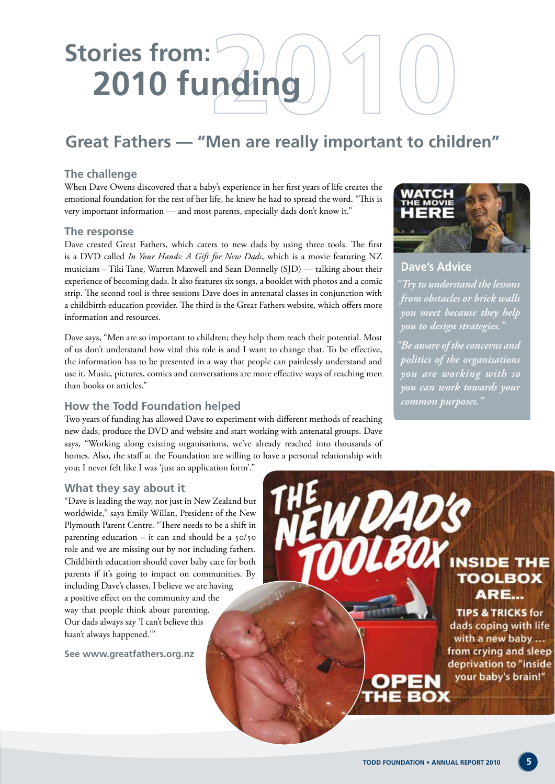### **Great Fathers — "Men are really important to children"**

#### **The challenge**

When Dave Owens discovered that a baby's experience in her first years of life creates the emotional foundation for the rest of her life, he knew he had to spread the word. "This is very important information — and most parents, especially dads don't know it."

#### **The response**

Dave created Great Fathers, which caters to new dads by using three tools. The first is a DVD called *In Your Hands: A Gift for New Dads*, which is a movie featuring NZ musicians – Tiki Tane, Warren Maxwell and Sean Donnelly (SJD) — talking about their experience of becoming dads. It also features six songs, a booklet with photos and a comic strip. The second tool is three sessions Dave does in antenatal classes in conjunction with a childbirth education provider. The third is the Great Fathers website, which offers more information and resources.

Dave says, "Men are so important to children; they help them reach their potential. Most of us don't understand how vital this role is and I want to change that. To be effective, the information has to be presented in a way that people can painlessly understand and use it. Music, pictures, comics and conversations are more effective ways of reaching men than books or articles."

#### **How the Todd Foundation helped**

Two years of funding has allowed Dave to experiment with different methods of reaching new dads, produce the DVD and website and start working with antenatal groups. Dave says, "Working along existing organisations, we've already reached into thousands of homes. Also, the staff at the Foundation are willing to have a personal relationship with you; I never felt like I was 'just an application form'."

#### **What they say about it**

"Dave is leading the way, not just in New Zealand but worldwide," says Emily Willan, President of the New Plymouth Parent Centre. "There needs to be a shift in parenting education – it can and should be a 50/50 role and we are missing out by not including fathers. Childbirth education should cover baby care for both parents if it's going to impact on communities. By including Dave's classes, I believe we are having a positive effect on the community and the way that people think about parenting. Our dads always say 'I can't believe this hasn't always happened.'"

**See www.greatfathers.org.nz**



**Dave's Advice**

*"Try to understand the lessons from obstacles or brick walls you meet because they help you to design strategies."* 

*"Be aware of the concerns and politics of the organisations you are working with so you can work towards your common purposes."* 

**DAD'S** LBOX INSIDE THE **TOOLBOX** ARE... **TIPS & TRICKS for** dads coping with life with a new baby ... from crying and sleep deprivation to "inside your baby's brain!"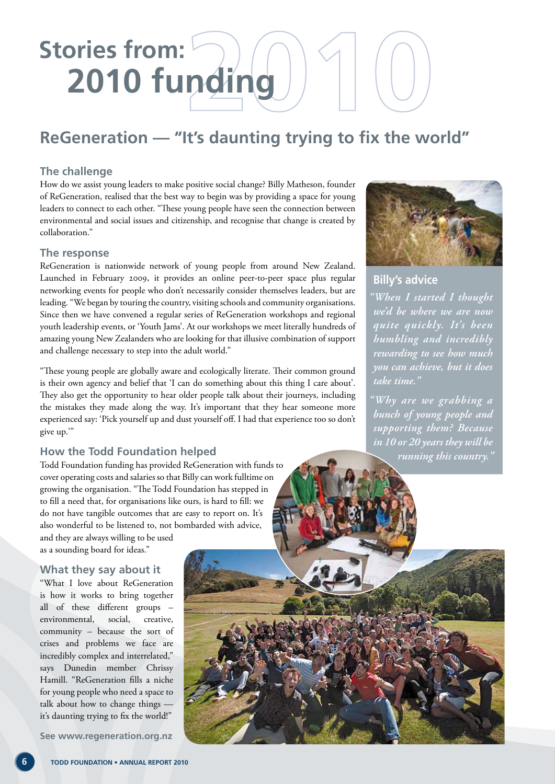### **ReGeneration — "It's daunting trying to fix the world"**

#### **The challenge**

How do we assist young leaders to make positive social change? Billy Matheson, founder of ReGeneration, realised that the best way to begin was by providing a space for young leaders to connect to each other. "These young people have seen the connection between environmental and social issues and citizenship, and recognise that change is created by collaboration."

#### **The response**

ReGeneration is nationwide network of young people from around New Zealand. Launched in February 2009, it provides an online peer-to-peer space plus regular networking events for people who don't necessarily consider themselves leaders, but are leading. "We began by touring the country, visiting schools and community organisations. Since then we have convened a regular series of ReGeneration workshops and regional youth leadership events, or 'Youth Jams'. At our workshops we meet literally hundreds of amazing young New Zealanders who are looking for that illusive combination of support and challenge necessary to step into the adult world."

"These young people are globally aware and ecologically literate. Their common ground is their own agency and belief that 'I can do something about this thing I care about'. They also get the opportunity to hear older people talk about their journeys, including the mistakes they made along the way. It's important that they hear someone more experienced say: 'Pick yourself up and dust yourself off. I had that experience too so don't give up.'"

#### **How the Todd Foundation helped**

Todd Foundation funding has provided ReGeneration with funds to cover operating costs and salaries so that Billy can work fulltime on growing the organisation. "The Todd Foundation has stepped in to fill a need that, for organisations like ours, is hard to fill: we do not have tangible outcomes that are easy to report on. It's also wonderful to be listened to, not bombarded with advice, and they are always willing to be used as a sounding board for ideas."

#### **What they say about it**

"What I love about ReGeneration is how it works to bring together all of these different groups – environmental, social, creative, community – because the sort of crises and problems we face are incredibly complex and interrelated," says Dunedin member Chrissy Hamill. "ReGeneration fills a niche for young people who need a space to talk about how to change things it's daunting trying to fix the world!"

**See www.regeneration.org.nz**



#### **Billy's advice**

*"When I started I thought we'd be where we are now quite quickly. It's been humbling and incredibly rewarding to see how much you can achieve, but it does take time."*

*"Why are we grabbing a bunch of young people and supporting them? Because in 10 or 20 years they will be running this country."*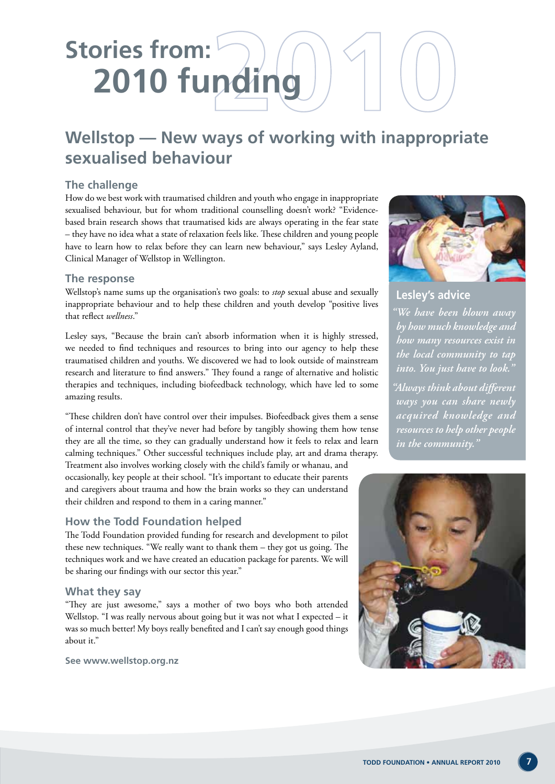### **Wellstop — New ways of working with inappropriate sexualised behaviour**

#### **The challenge**

How do we best work with traumatised children and youth who engage in inappropriate sexualised behaviour, but for whom traditional counselling doesn't work? "Evidencebased brain research shows that traumatised kids are always operating in the fear state – they have no idea what a state of relaxation feels like. These children and young people have to learn how to relax before they can learn new behaviour," says Lesley Ayland, Clinical Manager of Wellstop in Wellington.

#### **The response**

Wellstop's name sums up the organisation's two goals: to *stop* sexual abuse and sexually inappropriate behaviour and to help these children and youth develop "positive lives that reflect *wellness*."

Lesley says, "Because the brain can't absorb information when it is highly stressed, we needed to find techniques and resources to bring into our agency to help these traumatised children and youths. We discovered we had to look outside of mainstream research and literature to find answers." They found a range of alternative and holistic therapies and techniques, including biofeedback technology, which have led to some amazing results.

"These children don't have control over their impulses. Biofeedback gives them a sense of internal control that they've never had before by tangibly showing them how tense they are all the time, so they can gradually understand how it feels to relax and learn calming techniques." Other successful techniques include play, art and drama therapy.

Treatment also involves working closely with the child's family or whanau, and occasionally, key people at their school. "It's important to educate their parents and caregivers about trauma and how the brain works so they can understand their children and respond to them in a caring manner."

#### **How the Todd Foundation helped**

The Todd Foundation provided funding for research and development to pilot these new techniques. "We really want to thank them – they got us going. The techniques work and we have created an education package for parents. We will be sharing our findings with our sector this year."

#### **What they say**

"They are just awesome," says a mother of two boys who both attended Wellstop. "I was really nervous about going but it was not what I expected – it was so much better! My boys really benefited and I can't say enough good things about it."

**See www.wellstop.org.nz**



**Lesley's advice**

*"We have been blown away by how much knowledge and how many resources exist in the local community to tap into. You just have to look."*

*"Always think about different ways you can share newly acquired knowledge and resources to help other people in the community."*

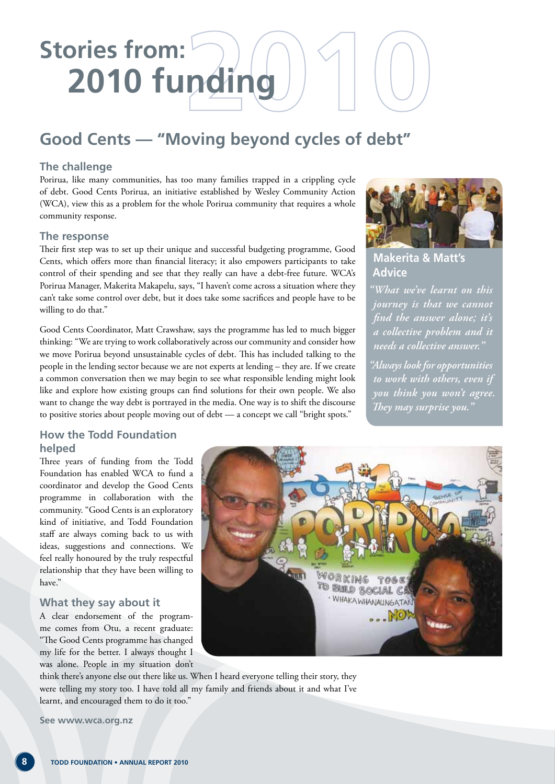### **Good Cents — "Moving beyond cycles of debt"**

#### **The challenge**

Porirua, like many communities, has too many families trapped in a crippling cycle of debt. Good Cents Porirua, an initiative established by Wesley Community Action (WCA), view this as a problem for the whole Porirua community that requires a whole community response.

#### **The response**

Their first step was to set up their unique and successful budgeting programme, Good Cents, which offers more than financial literacy; it also empowers participants to take control of their spending and see that they really can have a debt-free future. WCA's Porirua Manager, Makerita Makapelu, says, "I haven't come across a situation where they can't take some control over debt, but it does take some sacrifices and people have to be willing to do that."

Good Cents Coordinator, Matt Crawshaw, says the programme has led to much bigger thinking: "We are trying to work collaboratively across our community and consider how we move Porirua beyond unsustainable cycles of debt. This has included talking to the people in the lending sector because we are not experts at lending – they are. If we create a common conversation then we may begin to see what responsible lending might look like and explore how existing groups can find solutions for their own people. We also want to change the way debt is portrayed in the media. One way is to shift the discourse to positive stories about people moving out of debt — a concept we call "bright spots."



#### **Makerita & Matt's Advice**

*"What we've learnt on this journey is that we cannot find the answer alone; it's a collective problem and it needs a collective answer."*

*"Always look for opportunities to work with others, even if you think you won't agree. They may surprise you."*

#### **How the Todd Foundation helped**

Three years of funding from the Todd Foundation has enabled WCA to fund a coordinator and develop the Good Cents programme in collaboration with the community. "Good Cents is an exploratory kind of initiative, and Todd Foundation staff are always coming back to us with ideas, suggestions and connections. We feel really honoured by the truly respectful relationship that they have been willing to have."

#### **What they say about it**

A clear endorsement of the programme comes from Otu, a recent graduate: "The Good Cents programme has changed my life for the better. I always thought I was alone. People in my situation don't



think there's anyone else out there like us. When I heard everyone telling their story, they were telling my story too. I have told all my family and friends about it and what I've learnt, and encouraged them to do it too."

**See www.wca.org.nz**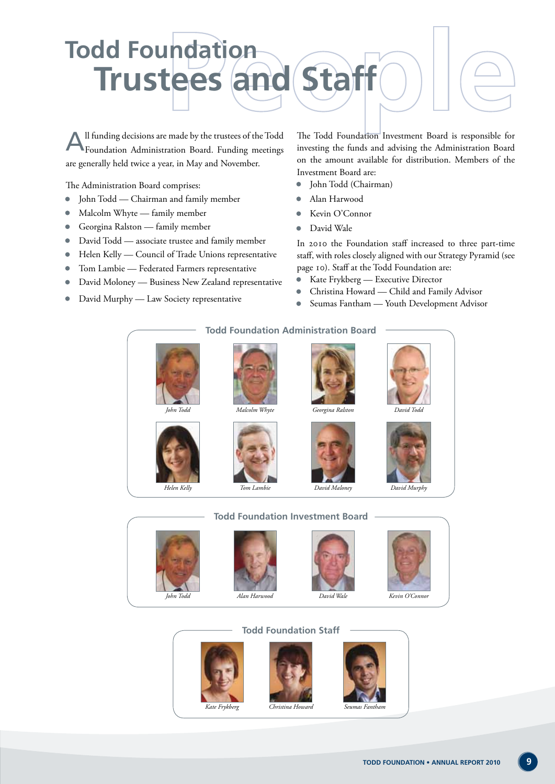

All funding decisions are made by the trustees of the Todd Foundation Administration Board. Funding meetings are generally held twice a year, in May and November.

The Administration Board comprises:

- John Todd Chairman and family member
- Malcolm Whyte family member
- Georgina Ralston family member
- David Todd associate trustee and family member
- Helen Kelly Council of Trade Unions representative
- Tom Lambie Federated Farmers representative
- David Moloney Business New Zealand representative
- David Murphy Law Society representative

The Todd Foundation Investment Board is responsible for investing the funds and advising the Administration Board on the amount available for distribution. Members of the Investment Board are:

- John Todd (Chairman)
- Alan Harwood
- Kevin O'Connor
- David Wale

In 2010 the Foundation staff increased to three part-time staff, with roles closely aligned with our Strategy Pyramid (see page 10). Staff at the Todd Foundation are:

- Kate Frykberg Executive Director
- Christina Howard Child and Family Advisor
- Seumas Fantham Youth Development Advisor

#### **Todd Foundation Administration Board**





*Tom Lambie*













*Helen Kelly*

#### **Todd Foundation Investment Board**









**Todd Foundation Staff**







*David Maloney David Murphy*



*David Wale*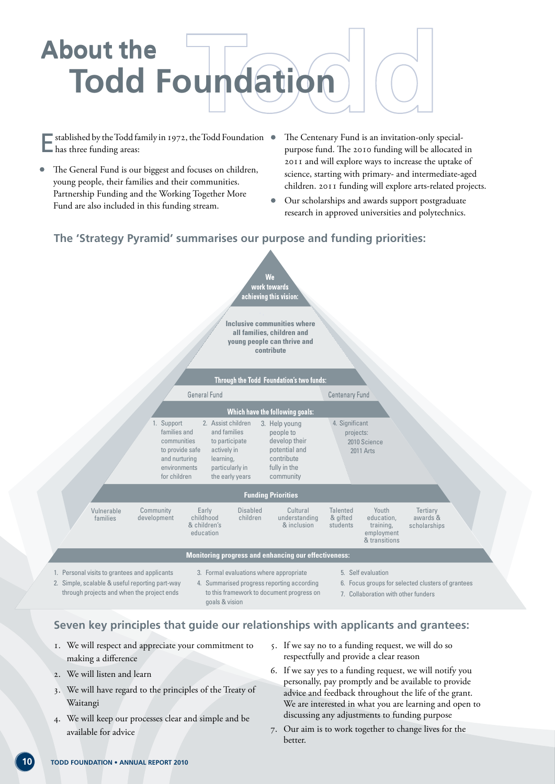

 $\bullet$  stablished by the Todd family in 1972, the Todd Foundation  $\bullet$ has three funding areas:

- The General Fund is our biggest and focuses on children, young people, their families and their communities. Partnership Funding and the Working Together More Fund are also included in this funding stream.
- The Centenary Fund is an invitation-only specialpurpose fund. The 2010 funding will be allocated in 2011 and will explore ways to increase the uptake of science, starting with primary- and intermediate-aged children. 2011 funding will explore arts-related projects.
- Our scholarships and awards support postgraduate research in approved universities and polytechnics.

#### **The 'Strategy Pyramid' summarises our purpose and funding priorities:**



- 1. We will respect and appreciate your commitment to making a difference
- 2. We will listen and learn
- 3. We will have regard to the principles of the Treaty of Waitangi
- 4. We will keep our processes clear and simple and be available for advice
- 5. If we say no to a funding request, we will do so respectfully and provide a clear reason
- 6. If we say yes to a funding request, we will notify you personally, pay promptly and be available to provide advice and feedback throughout the life of the grant. We are interested in what you are learning and open to discussing any adjustments to funding purpose
- 7. Our aim is to work together to change lives for the better.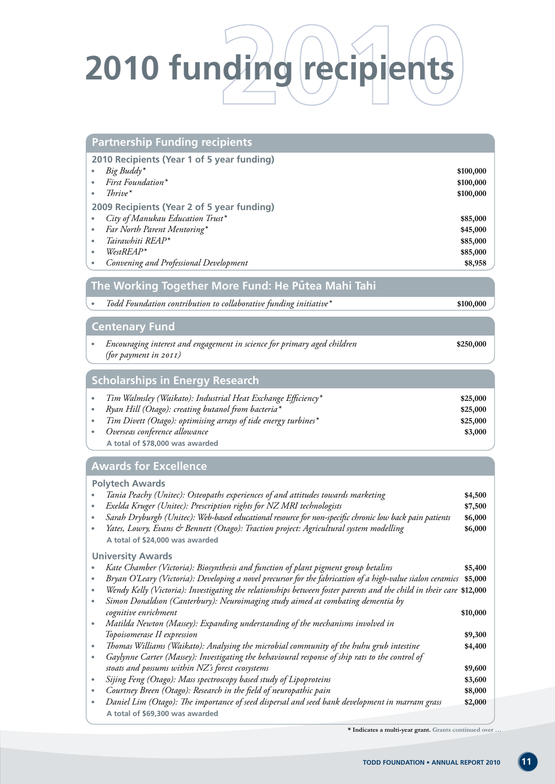

| <b>Partnership Funding recipients</b>                                                                                                                                                                                                                                                                                                             |                                                                                                |
|---------------------------------------------------------------------------------------------------------------------------------------------------------------------------------------------------------------------------------------------------------------------------------------------------------------------------------------------------|------------------------------------------------------------------------------------------------|
| 2010 Recipients (Year 1 of 5 year funding)<br>Big Buddy*<br>First Foundation*<br>$Thrive*$<br>2009 Recipients (Year 2 of 5 year funding)<br>City of Manukau Education Trust*<br>$\bullet$<br>Far North Parent Mentoring*<br>$\bullet$<br>Tairawhiti REAP*<br>٠<br>$WestREAP*$<br>$\bullet$<br>Convening and Professional Development<br>$\bullet$ | \$100,000<br>\$100,000<br>\$100,000<br>\$85,000<br>\$45,000<br>\$85,000<br>\$85,000<br>\$8,958 |
| The Working Together More Fund: He Putea Mahi Tahi                                                                                                                                                                                                                                                                                                |                                                                                                |
| Todd Foundation contribution to collaborative funding initiative*<br>$\bullet$                                                                                                                                                                                                                                                                    | \$100,000                                                                                      |
| <b>Centenary Fund</b>                                                                                                                                                                                                                                                                                                                             |                                                                                                |
| Encouraging interest and engagement in science for primary aged children<br>(for payment in 2011)                                                                                                                                                                                                                                                 | \$250,000                                                                                      |
| <b>Scholarships in Energy Research</b>                                                                                                                                                                                                                                                                                                            |                                                                                                |
| Tim Walmsley (Waikato): Industrial Heat Exchange Efficiency*<br>$\bullet$<br>Ryan Hill (Otago): creating butanol from bacteria*<br>$\bullet$<br>Tim Divett (Otago): optimising arrays of tide energy turbines*<br>Overseas conference allowance<br>$\bullet$<br>A total of \$78,000 was awarded                                                   | \$25,000<br>\$25,000<br>\$25,000<br>\$3,000                                                    |
| <b>Awards for Excellence</b>                                                                                                                                                                                                                                                                                                                      |                                                                                                |
| <b>Polytech Awards</b>                                                                                                                                                                                                                                                                                                                            |                                                                                                |

| <b>Polytech Awards</b>                                                                                              |          |
|---------------------------------------------------------------------------------------------------------------------|----------|
| Tania Peachy (Unitec): Osteopaths experiences of and attitudes towards marketing                                    | \$4,500  |
| Exelda Kruger (Unitec): Prescription rights for NZ MRI technologists                                                | \$7,500  |
| Sarah Dryburgh (Unitec): Web-based educational resource for non-specific chronic low back pain patients             | \$6,000  |
| Yates, Lowry, Evans & Bennett (Otago): Traction project: Agricultural system modelling                              | \$6,000  |
| A total of \$24,000 was awarded                                                                                     |          |
| <b>University Awards</b>                                                                                            |          |
| Kate Chamber (Victoria): Biosynthesis and function of plant pigment group betalins                                  | \$5,400  |
| Bryan O'Leary (Victoria): Developing a novel precursor for the fabrication of a high-value sialon ceramics          | \$5,000  |
| Wendy Kelly (Victoria): Investigating the relationships between foster parents and the child in their care \$12,000 |          |
| Simon Donaldson (Canterbury): Neuroimaging study aimed at combating dementia by                                     |          |
| cognitive enrichment                                                                                                | \$10,000 |
| Matilda Newton (Massey): Expanding understanding of the mechanisms involved in                                      |          |
| Topoisomerase II expression                                                                                         | \$9,300  |
| Thomas Williams (Waikato): Analysing the microbial community of the huhu grub intestine                             | \$4,400  |
| Gaylynne Carter (Massey): Investigating the behavioural response of ship rats to the control of                     |          |
| stoats and possums within NZ's forest ecosystems                                                                    | \$9,600  |
| Sijing Feng (Otago): Mass spectroscopy based study of Lipoproteins                                                  | \$3,600  |
| Courtney Breen (Otago): Research in the field of neuropathic pain                                                   | \$8,000  |
| Daniel Lim (Otago): The importance of seed dispersal and seed bank development in marram grass                      | \$2,000  |
| A total of \$69,300 was awarded                                                                                     |          |

**\* Indicates a multi-year grant. Grants continued over …**